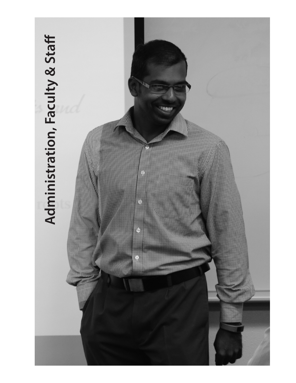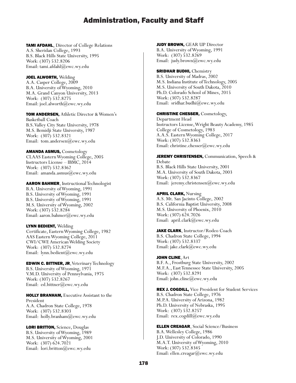TAMI AFDAHL, Director of College Relations A.S. Sheridan College, 1993 B.S. Black Hills State University, 1995 Work: (307) 532.8206 Email: tami.afdahl@ewc.wy.edu

JOEL ALWORTH, Welding A.A. Casper College, 2009 B.A. University of Wyoming, 2010 M.A. Grand Canyon University, 2013 Work: (307) 532.8275 Email: joel.alworth@ewc.wy.edu

TOM ANDERSEN, Athletic Director & Women's Basketball Coach B.S. Valley City State University, 1978 M.S. Bemidji State University, 1987 Work: (307) 532.8321 Email: tom.andersen@ewc.wy.edu

AMANDA ASMUS, Cosmetology CLAAS Eastern Wyoming College, 2005 Instructors License – IBMC, 2014 Work: (307) 532.8362 Email: amanda.asmus@ewc.wy.edu

AARON BAHMER, Instructional Technologist B.A. University of Wyoming, 1991 B.S. University of Wyoming, 1991 B.S. University of Wyoming, 1991 M.S. University of Wyoming, 2002 Work: (307) 532.8284 Email: aaron.bahmer@ewc.wy.edu

LYNN BEDIENT, Welding Certificate, Eastern Wyoming College, 1982 AAS Eastern Wyoming College, 2011 CWI/CWE American Welding Society Work: (307) 532.8274 Email: lynn.bedient@ewc.wy.edu

EDWIN C. BITTNER, JR, Veterinary Technology B.S. University of Wyoming, 1971 V.M.D. University of Pennsylvania, 1975 Work: (307) 532.8267 Email: ed.bittner@ewc.wy.edu

HOLLY BRANHAM, Executive Assistant to the President A.A. Chadron State College, 1978 Work: (307) 532.8303 Email: holly.branham@ewc.wy.edu

LORI BRITTON, Science, Douglas B.S. University of Wyoming, 1989 M.S. University of Wyoming, 2001 Work: (307) 624.7021 Email: lori.britton@ewc.wy.edu

**JUDY BROWN, GEAR UP Director** B.A. University of Wyoming, 1991 Work: (307) 532.8269 Email: judy.brown@ewc.wy.edu

**SRIDHAR BUDHI, Chemistry** B.S. University of Madras, 2002 M.S. Indiana Institute of Technology, 2005 M.S. University of South Dakota, 2010 Ph.D. Colorado School of Mines, 2015 Work: (307) 532.8287 Email: sridhar.budhi@ewc.wy.edu

CHRISTINE CHESSER, Cosmetology, Department Head Instructors License, Wright Beauty Academy, 1985 College of Cosmetology, 1983 A.A.S. Eastern Wyoming College, 2017 Work: (307) 532.8363 Email: christine.chesser@ewc.wy.edu

JEREMY CHRISTENSEN, Communication, Speech & Debate B.S. Black Hills State University, 2001 M.A. University of South Dakota, 2003 Work: (307) 532.8367 Email: jeremy.christensen@ewc.wy.edu

**APRIL CLARK, Nursing** A.S. Mt. San Jacinto College, 2002 B.S. California Baptist University, 2008 M.S. University of Phoenix, 2010 Work: (307) 624.7026 Email: april.clark@ewc.wy.edu

JAKE CLARK, Instructor/Rodeo Coach B.S. Chadron State College, 1994 Work: (307) 532.8337 Email: jake.clark@ewc.wy.edu

### JOHN CLINE, Art

B.F. A., Frostburg State University, 2002 M.F.A., East Tennessee State University, 2005 Work: (307) 532.8291 Email: john.cline@ewc.wy.edu

REX J. COGDILL, Vice President for Student Services B.S. Chadron State College, 1976 M.P.A. University of Arizona, 1982 Ph.D. University of Nebraska, 1995 Work: (307) 532.8257 Email: rex.cogdill@ewc.wy.edu

ELLEN CREAGAR, Social Science/Business B.A. Wellesley College, 1986 J.D. University of Colorado, 1990 M.A.T. University of Wyoming, 2010 Work: (307) 532.8345 Email: ellen.creagar@ewc.wy.edu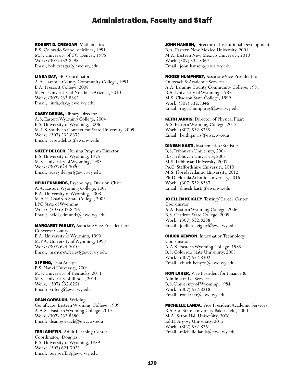### ROBERT D. CREAGAR, Mathematics

B.S. Colorado School of Mines, 1991 M.S. University of CO-Denver, 1995 Work: (307) 532.8298 Email: bob.creagar@ewc.wy.edu

LINDA DAY, FBI Coordinator A.A. Laramie County Community College, 1991 B.A. Prescott College, 2008 M.Ed. University of Northern Arizona, 2010 Work: (307) 532.8365 Email: linda.day@ewc.wy.edu

CASEY DEBUS, Library Director A.S. Eastern Wyoming College, 2004 B.S. University of Wyoming, 2006 M.L.S.Southern Connecticut State University, 2009 Work: (307) 532.8375 Email: casey.debus@ewc.wy.edu

**SUZEY DELGER, Nursing Program Director** B.S. University of Wyoming, 1975 M.S. University of Wyoming, 1983 Work: (307) 624.7020 Email: suzey.delger@ewc.wy.edu

HEIDI EDMUNDS, Psychology, Division Chair A.A. Eastern Wyoming College, 2001 B.A. University of Wyoming, 2003 M.A.E. Chadron State College, 2005 LPC State of Wyoming Work: (307) 532.8296 Email: heidi.edmunds@ewc.wy.edu

### MARGARET FARLEY, Associate Vice President for

Converse County B.A. University of Wyoming, 1990 M.P.A. University of Wyoming, 1992 Work: (307) 624.7010 Email: margaret.farley@ewc.wy.edu

XI FENG, Data Analyst B.S. Nanki University, 2004 M.S. University of Kentucky, 2011 M.S. University of Illinois, 2014 Work: (307) 532.8251 Email: xi.feng@ewc.wy.edu

DEAN GORSUCH, Welding Certificate, Eastern Wyoming College, 1999 A.A.S., Eastern Wyoming College, 2017 Work: (307) 532.8380 Email: dean.gorsuch@ewc.wy.edu

TERI GRIFFIN, Adult Learning Center Coordinator, Douglas B.S. University of Wyoming, 1989 Work: (307) 624.7025 Email: teri.griffin@ewc.wy.edu

JOHN HANSEN, Director of Institutional Development B.A. Eastern New Mexico University, 2001 M.A. Eastern New Mexico University, 2010 Work: (307) 532.8367 Email: john.hansen@ewc.wy.edu

ROGER HUMPHREY, Associate Vice President for Outreach & Academic Services A.A. Laramie County Community College, 1981 B.A. University of Wyoming, 1983 M.S. Chadron State College, 1999 Work: (307) 532.8346 Email: roger.humphrey@ewc.wy.edu

KEITH JARVIS, Director of Physical Plant A.S. Eastern Wyoming College, 2012 Work: (307) 532.8255 Email: keith.jarvis@ewc.wy.edu

DINESH KASTI, Mathematics/Statistics B.S. Tribhuvan University, 2004 B.S. Tribhuvan University, 2005 M.S. Tribhuvan University, 2007 Pg.C. Staffordshire University, 2010 M.S. Florida Atlantic University, 2012 Ph.D. Florida Atlantic University, 2016 Work: (307) 532.8387 Email: dinesh.kasti@ewc.wy.edu

JO ELLEN KEIGLEY, Testing/Career Center Coordinator

A.A. Eastern Wyoming College, 2006 B.S. Chadron State College, 2009 Work: (307) 532.8288 Email: joellen.keigley@ewc.wy.edu

CHUCK KENYON, Information Technology Coordinator A.A.S. Eastern Wyoming College, 1985 B.S. Colorado State University, 2008 Work: (307) 532.8302 Email: chuck.kenyon@ewc.wy.edu

RON LAHER, Vice President for Finance & Administrative Services B.S. University of Wyoming, 1984 Work: (307) 532.8218 Email: ron.laher@ewc.wy.edu

MICHELLE LANDA, Vice President Academic Services B.A. Cal State University Bakersfield, 2000 M.A. Seton Hall University, 2006 Ed.D. Argosy University, 2012 Work: (307) 532.8261 Email: michelle.landa@ewc.wy.edu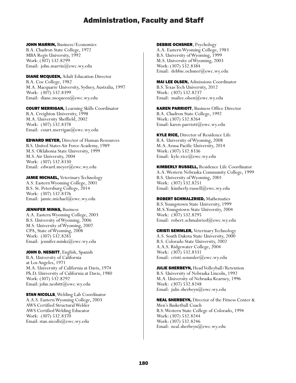JOHN MARRIN, Business/Economics B.A. Chadron State College, 1972 MBA Regis University, 1992 Work: (307) 532.8299 Email: john.marrin@ewc.wy.edu

DIANE MCQUEEN, Adult Education Director B.A. Coe College, 1982 M.A. Macquarie University, Sydney, Australia, 1997 Work: (307) 532.8399 Email: diane.mcqueen@ewc.wy.edu

COURT MERRIGAN, Learning Skills Coordinator B.A. Creighton University, 1998 M.A. University Sheffield, 2002 Work: (307) 532.8378 Email: court.merrigan@ewc.wy.edu

EDWARD MEYER, Director of Human Resources B.S. United States Air Force Academy, 1989 M.S. Oklahoma State University, 1999 M.S. Air University, 2004 Work: (307) 532.8330 Email: edward.meyer@ewc.wy.edu

JAMIE MICHAEL, Veterinary Technology A.S. Eastern Wyoming College, 2001 B.S. St. Petersburg College, 2014 Work: (307) 532.8376 Email: jamie.michael@ewc.wy.edu

**JENNIFER MINKS, Business** A.A. Eastern Wyoming College, 2003 B.S. University of Wyoming, 2006 M.S. University of Wyoming, 2007 CPA, State of Wyoming, 2008 Work: (307) 532.8285 Email: jennifer.minks@ewc.wy.edu

JOHN D. NESBITT, English, Spanish B.A. University of California at Los Angeles, 1971 M.A. University of California at Davis, 1974 Ph.D. University of California at Davis, 1980 Work: (307) 532.8292 Email: john.nesbitt@ewc.wy.edu

**STAN NICOLLS, Welding Lab Coordinator** A.A.S. Eastern Wyoming College, 2003 AWS Certified Structural Welder AWS Certified Welding Educator Work: (307) 532.8370 Email: stan.nicolls@ewc.wy.edu

DEBBIE OCHSNER, Psychology

A.A. Eastern Wyoming College, 1983 B.S. University of Wyoming, 1999 M.S. University of Wyoming, 2003 Work: (307) 532.8384 Email: debbie.ochsner@ewc.wy.edu

MAI LEE OLSEN, Admissions Coordinator B.S. Texas Tech University, 2012 Work: (307) 532.8237 Email: mailee.olsen@ewc.wy.edu

KAREN PARRIOTT, Business Office Director B.A. Chadron State College, 1992 Work: (307) 532.8264 Email: karen.parriott@ewc.wy.edu

**KYLE RICE, Director of Residence Life** B.A. University of Wyoming, 2008 M.A. Azusa Pacific University, 2014 Work: (307) 532.8336 Email: kyle.rice@ewc.wy.edu

KIMBERLY RUSSELL, Residence Life Coordinator A.A. Western Nebraska Community College, 1999 B.S. University of Wyoming, 2001 Work: (307) 532.8251 Email: kimberly.russell@ewc.wy.edu

ROBERT SCHMALZRIED, Mathematics B.S. Youngstown State University, 1999 M.S. Youngstown State University, 2004 Work: (307) 532.8295 Email: robert.schmalzried@ewc.wy.edu

**CRISTI SEMMLER, Veterinary Technology** A.S. South Dakota State University, 2000 B.S. Colorado State University, 2002 A.A.S. Ridgewater College, 2004 Work: (307) 532.8331 Email: cristi.semmler@ewc.wy.edu

JULIE SHERBEYN, Head Volleyball/Retention B.S. University of Nebraska Lincoln, 1992 M.A. University of Nebraska Kearney, 1996 Work: (307) 532.8248 Email: julie.sherbeyn@ewc.wy.edu

NEAL SHERBEYN, Director of the Fitness Center & Men's Basketball Coach B.S. Western State College of Colorado, 1994 Work: (307) 532.8244 Work: (307) 532.8246 Email: neal.sherbeyn@ewc.wy.edu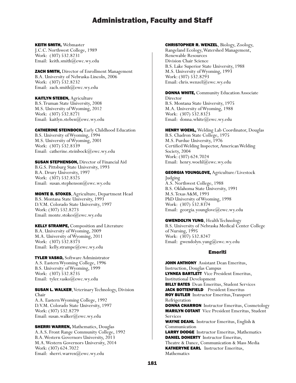### KEITH SMITH, Webmaster

J.C.C. Northwest College, 1989 Work: (307) 532.8231 Email: keith.smith@ewc.wy.edu

### ZACH SMITH, Director of Enrollment Management B.A. University of Nebraska-Lincoln, 2006 Work: (307) 532.8232 Email: zach.smith@ewc.wy.edu

### KAITLYN STEBEN, Agriculture

B.S. Truman State University, 2008 M.S. University of Wyoming, 2012 Work: (307) 532.8271 Email: kaitlyn.steben@ewc.wy.edu

### CATHERINE STEINBOCK, Early Childhood Education

B.S. University of Wyoming, 1994 M.S. University of Wyoming, 2001 Work: (307) 532.8339 Email: catherine.steinbock@ewc.wy.edu

### **SUSAN STEPHENSON, Director of Financial Aid**

B.G.S. Pittsburg State University, 1993 B.A. Drury University, 1997 Work: (307) 532.8325 Email: susan.stephenson@ewc.wy.edu

### MONTE B. STOKES, Agriculture, Department Head

B.S. Montana State University, 1993 D.V.M. Colorado State University, 1997 Work: (307) 532.8273 Email: monte.stokes@ewc.wy.edu

### KELLY STRAMPE, Composition and Literature

B.A. University of Wyoming, 2009 M.A. University of Wyoming, 2011 Work: (307) 532.8373 Email: kelly.strampe@ewc.wy.edu

### TYLER VASKO, Software Administrator

A.S. Eastern Wyoming College, 1996 B.S. University of Wyoming, 1999 Work: (307) 532.8235 Email: tyler.vasko@ewc.wy.edu

#### **SUSAN L. WALKER, Veterinary Technology, Division** Chair A.A. Eastern Wyoming College, 1992 D.V.M. Colorado State University, 1997 Work: (307) 532.8279 Email: susan.walker@ewc.wy.edu

### **SHERRI WARREN, Mathematics, Douglas** A.A.S. Front Range Community College, 1992 B.A. Western Governors University, 2013 M.A. Western Governors University, 2014 Work: (307) 624.7022 Email: sherri.warren@ewc.wy.edu

### CHRISTOPHER R. WENZEL, Biology, Zoology,

Rangeland Ecology, Watershed Management, Renewable Resources Division Chair Science B.S. Lake Superior State University, 1988 M.S. University of Wyoming, 1993 Work: (307) 532.8293 Email: chris.wenzel@ewc.wy.edu

#### **DONNA WHITE, Community Education Associate** Director B.S. Montana State University, 1975

M.A. University of Wyoming, 1988 Work: (307) 532.8323 Email: donna.white@ewc.wy.edu

### HENRY WOEHL, Welding Lab Coordinator, Douglas

B.S. Chadron State College, 1975 M.S. Purdue University, 1976 Certified Welding Inspector, American Welding Society, 2004 Work: (307) 624.7024 Email: henry.woehl@ewc.wy.edu

### GEORGIA YOUNGLOVE, Agriculture/Livestock

Judging A.S. Northwest College, 1988 B.S. Oklahoma State University, 1991 M.S. Texas A&M, 1993 PhD University of Wyoming, 1998 Work: (307) 532.8374 Email: georgia.younglove@ewc.wy.edu

### GWENDOLYN YUNG, Health Technology

B.S. University of Nebraska Medical Center College of Nursing, 1995 Work: (307) 532.8247 Email: gwendolyn.yung@ewc.wy.edu

### Emeriti

JOHN ANTHONY Assistant Dean Emeritus, Instruction, Douglas Campus LYNNEA BARTLETT Vice President Emeritus, Institutional Development **BILLY BATES** Dean Emeritus, Student Services JACK BOTTENFIELD President Emeritus ROY BUTLER Instructor Emeritus,Transport Refrigeration DONNA CHARRON Instructor Emeritus, Cosmetology MARILYN COTANT Vice President Emeritus, Student Services WAYNE DEAHL Instructor Emeritus, English & Communication LARRY DODGE Instructor Emeritus, Mathematics DANIEL DOHERTY Instructor Emeritus, Theatre & Dance, Communication & Mass Media

KATHERYNE EARL Instructor Emeritus,

Mathematics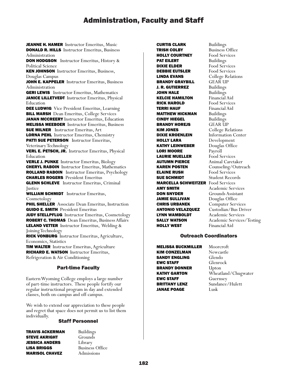JEANNE H. HAMER Instructor Emeritus, Music DONALD R. HILLS Instructor Emeritus, Business Administration

DON HODGSON Instructor Emeritus, History & Political Science

KEN JOHNSON Instructor Emeritus, Business, Douglas Campus

JOHN E. KAPPELER Instructor Emeritus, Business Administration

**GERI LEWIS** Instructor Emeritus, Mathematics JANICE LILLETVEDT Instructor Emeritus, Physical Education

DEE LUDWIG Vice President Emeritus, Learning **BILL MARSH** Dean Emeritus, College Services JANAN MCCREERY Instructor Emeritus, Education MELISSA MEEBOER Instructor Emeritus, Business **SUE MILNER** Instructor Emeritus, Art LORNA PEHL Instructor Emeritus, Chemistry

PATTI SUE PETERSON Instructor Emeritus, Veterinary Technology

VERL E. PETSCH, JR. Instructor Emeritus, Physical Education

VERLE J. PUNKE Instructor Emeritus, Biology CHERYL RABOIN Instructor Emeritus, Mathematics ROLLAND RABOIN Instructor Emeritus, Psychology CHARLES ROGERS President Emeritus

**GLENN SCHLEVE** Instructor Emeritus, Criminal Justice

WILLIAM SCHMIDT Instructor Emeritus, Cosmetology

**PHIL SHELLER** Associate Dean Emeritus, Instruction GUIDO E. SMITH President Emeritus JUDY STELLPFLUG Instructor Emeritus, Cosmetology ROBERT C. THOMAS Dean Emeritus, Business Affairs LELAND VETTER Instructor Emeritus, Welding & Joining Technology

RICK VONBURG Instructor Emeritus, Agriculture, Economics, Statistics

TIM WALTER Instructor Emeritus, Agriculture RICHARD E. WATSON Instructor Emeritus, Refrigeration & Air Conditioning

### Part-time Faculty

Eastern Wyoming College employs a large number of part-time instructors. These people fortify our regular instructional program in day and extended classes, both on-campus and off-campus.

We wish to extend our appreciation to these people and regret that space does not permit us to list them individually.

### Staff Personnel

| TRAVIS ACKERMAN       |  |
|-----------------------|--|
| STEVE AKRIGHT         |  |
| JESSICA ANDERS        |  |
| <b>LISA BRIGGS</b>    |  |
| <b>MARISOL CHAVEZ</b> |  |

Buildings Grounds Library Business Office Admissions

**CURTIS CLARK Buildings TRISH COLBY** Business Office<br> **HOLLY COURTNEY** Food Services HOLLY COURTNEY<br>PAT EILERT **DIXIE ELDER** Food Services **DEBBIE EUTSLER** Food Services **LINDA EVANS** College Relations<br> **BRANDY GRAYBILL** GEAR UP BRANDY GRAYBILL GEAR UP **J. R. GUTIERREZ** Buildings<br>**JOHN HALE** Buildings **JOHN HALE** KELCIE HAMILTON Financial Aid RICK HAROLD Food Services TERRI HAUF Financial Aid **MATTHEW HICKMAN** Buildings **CINDY HIEGEL Buildings<br>
BRANDY HOREJS** GEAR UP **BRANDY HOREJS** KIM JONES College Relations **DIXIE KROENLEIN** Information Center HOLLY LARA Development **KATHY LEINWEBER** Douglas Office<br>**LORI MOORE** Pavroll **LORI MOORE** Payroll<br>**LAURIE MUELLER** Food Services **LAURIE MUELLER AUTUMN PIERCE** Animal Caretaker KAREN POSTEN Counseling/Outreach **ELAINE RUSH** Food Services **SUE SCHMIDT** Student Records MARCELLA SCHWEITZER Food Services **AMY SMITH** Academic Services **DON SNYDER** Grounds Assistant **JAMIE SULLIVAN** Douglas Office<br>**CHRIS URBANEK** Computer Serv ANTONIO VELAZQUEZ Custodian/Bus Driver **LYNN WAMBOLDT** Academic Services<br>**SALLY WATSON** Academic Services HOLLY WEST Financial Aid

**Buildings** Computer Services Academic Services/Testing

### Outreach Coordinators

**MELISSA BUCKMILLER** Moorcroft<br>**KIM CONZELMAN** Newcastle **KIM CONZELMAN** SANDY ENGLING Glendo **EWC STAFF Glenrock**<br>**BRANDY DONNER** Upton **BRANDY DONNER KATHY GARTON** Wheatland/Chugwater **EWC STAFF** Guernsey **BRITTANY LENZ** Sundance/Hulett JANAE POAGE Lusk